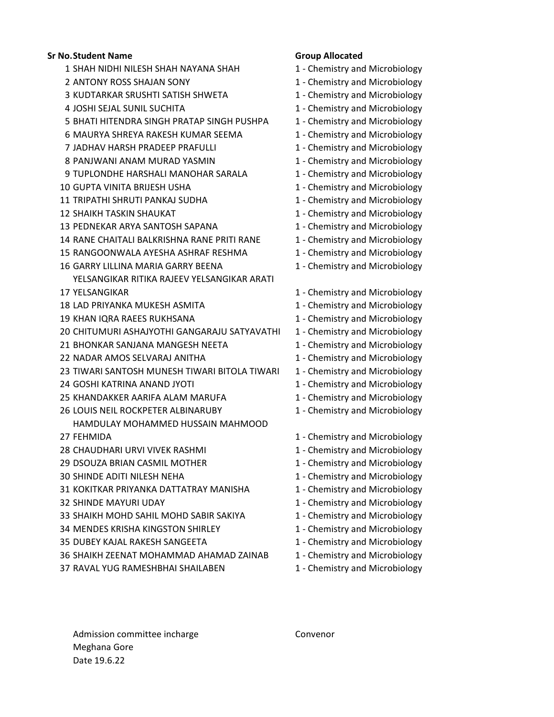## **Sr No.Student Name Group Allocated**

- 1 SHAH NIDHI NILESH SHAH NAYANA SHAH 1 Chemistry and Microbiology
- 
- 3 KUDTARKAR SRUSHTI SATISH SHWETA 1 Chemistry and Microbiology
- 
- 5 BHATI HITENDRA SINGH PRATAP SINGH PUSHPA 1 Chemistry and Microbiology
- 6 MAURYA SHREYA RAKESH KUMAR SEEMA 1 Chemistry and Microbiology
- 7 JADHAV HARSH PRADEEP PRAFULLI 1 1 Chemistry and Microbiology
- 8 PANJWANI ANAM MURAD YASMIN 1 Chemistry and Microbiology
- 9 TUPLONDHE HARSHALI MANOHAR SARALA 1 Chemistry and Microbiology
- 10 GUPTA VINITA BRIJESH USHA 1 Chemistry and Microbiology
- 11 TRIPATHI SHRUTI PANKAJ SUDHA 1 Chemistry and Microbiology
- 
- 13 PEDNEKAR ARYA SANTOSH SAPANA 1 Chemistry and Microbiology
- 14 RANE CHAITALI BALKRISHNA RANE PRITI RANE 1 Chemistry and Microbiology
- 15 RANGOONWALA AYESHA ASHRAF RESHMA 1 Chemistry and Microbiology
- 16 GARRY LILLINA MARIA GARRY BEENA 1 Chemistry and Microbiology
- **17 YELSANGIKAR** YELSANGIKAR RITIKA RAJEEV YELSANGIKAR ARATI
- 
- 
- 
- 20 CHITUMURI ASHAJYOTHI GANGARAJU SATYAVATHI 1 Chemistry and Microbiology
- 21 BHONKAR SANJANA MANGESH NEETA 1 Chemistry and Microbiology
- 
- 23 TIWARI SANTOSH MUNESH TIWARI BITOLA TIWARI 1 Chemistry and Microbiology
- 24 GOSHI KATRINA ANAND JYOTI 24 GOSHI KATRINA ANAND JYOTI
- 25 KHANDAKKER AARIFA ALAM MARUFA 1 Chemistry and Microbiology
- 26 LOUIS NEIL ROCKPETER ALBINARUBY 1 Chemistry and Microbiology
- HAMDULAY MOHAMMED HUSSAIN MAHMOOD
- 27 FEHMIDA
- 28 CHAUDHARI URVI VIVEK RASHMI 1 Chemistry and Microbiology
- 29 DSOUZA BRIAN CASMIL MOTHER 1 Chemistry and Microbiology
- 
- 31 KOKITKAR PRIYANKA DATTATRAY MANISHA 1 Chemistry and Microbiology
- 
- 33 SHAIKH MOHD SAHIL MOHD SABIR SAKIYA 1 Chemistry and Microbiology
- 34 MENDES KRISHA KINGSTON SHIRLEY 1 Chemistry and Microbiology
- 35 DUBEY KAJAL RAKESH SANGEETA 1 Chemistry and Microbiology
- 36 SHAIKH ZEENAT MOHAMMAD AHAMAD ZAINAB 1 Chemistry and Microbiology
- 37 RAVAL YUG RAMESHBHAI SHAILABEN 1 Chemistry and Microbiology

- 
- 2 ANTONY ROSS SHAJAN SONY 1 Chemistry and Microbiology
	-
- 4 JOSHI SEJAL SUNIL SUCHITA 1 Chemistry and Microbiology
	-
	-
	-
	-
	-
	-
	-
- 12 SHAIKH TASKIN SHAUKAT 1 Chemistry and Microbiology
	-
	-
	-
	-
	- 1 Chemistry and Microbiology
- 18 LAD PRIYANKA MUKESH ASMITA 1 Chemistry and Microbiology
- 19 KHAN IQRA RAEES RUKHSANA 1 Chemistry and Microbiology
	-
	-
- 22 NADAR AMOS SELVARAJ ANITHA 1 Chemistry and Microbiology
	-
	-
	-
	-
	- 1 Chemistry and Microbiology
	-
	-
- 30 SHINDE ADITI NILESH NEHA 1 Chemistry and Microbiology
	-
- 32 SHINDE MAYURI UDAY 1 Chemistry and Microbiology
	-
	-
	-
	-
	-

Admission committee incharge Convenor Meghana Gore Date 19.6.22